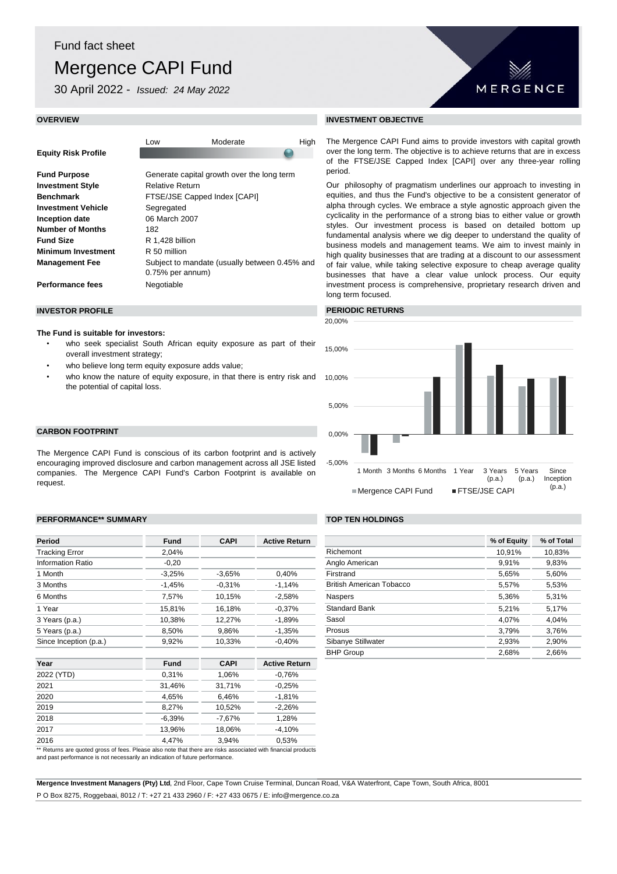# Mergence CAPI Fund

30 April 2022 - *Issued: 24 May 2022*

**Equity Risk Profile**

Low Moderate High

| <b>Fund Purpose</b>       | Generate capital growth over the long term    |
|---------------------------|-----------------------------------------------|
| <b>Investment Style</b>   | <b>Relative Return</b>                        |
| <b>Benchmark</b>          | FTSE/JSE Capped Index [CAPI]                  |
| <b>Investment Vehicle</b> | Segregated                                    |
| Inception date            | 06 March 2007                                 |
| <b>Number of Months</b>   | 182                                           |
| <b>Fund Size</b>          | R 1,428 billion                               |
| <b>Minimum Investment</b> | R 50 million                                  |
| <b>Management Fee</b>     | Subject to mandate (usually between 0.45% and |
|                           | 0.75% per annum)                              |
| <b>Performance fees</b>   | Negotiable                                    |

#### **INVESTOR PROFILE** *PERIODIC RETURNS*

#### **The Fund is suitable for investors:**

- who seek specialist South African equity exposure as part of their overall investment strategy;
- who believe long term equity exposure adds value;
- who know the nature of equity exposure, in that there is entry risk and the potential of capital loss.

### **CARBON FOOTPRINT**

The Mergence CAPI Fund is conscious of its carbon footprint and is actively encouraging improved disclosure and carbon management across all JSE listed companies. The Mergence CAPI Fund's Carbon Footprint is available on request.

#### **PERFORMANCE\*\* SUMMARY TOP TEN HOLDINGS**

| Period                   | Fund        | <b>CAPI</b> | <b>Active Return</b> |                                 | % of Equity | % of Total |
|--------------------------|-------------|-------------|----------------------|---------------------------------|-------------|------------|
| <b>Tracking Error</b>    | 2,04%       |             |                      | Richemont                       | 10,91%      | 10,83%     |
| <b>Information Ratio</b> | $-0,20$     |             |                      | Anglo American                  | 9,91%       | 9,83%      |
| 1 Month                  | $-3,25%$    | $-3.65\%$   | 0,40%                | Firstrand                       | 5,65%       | 5,60%      |
| 3 Months                 | $-1,45%$    | $-0,31%$    | $-1,14%$             | <b>British American Tobacco</b> | 5,57%       | 5,53%      |
| 6 Months                 | 7,57%       | 10,15%      | $-2,58%$             | Naspers                         | 5,36%       | 5,31%      |
| 1 Year                   | 15,81%      | 16,18%      | $-0.37%$             | <b>Standard Bank</b>            | 5,21%       | 5,17%      |
| 3 Years (p.a.)           | 10,38%      | 12,27%      | $-1,89%$             | Sasol                           | 4,07%       | 4,04%      |
| 5 Years (p.a.)           | 8,50%       | 9,86%       | $-1,35%$             | Prosus                          | 3,79%       | 3,76%      |
| Since Inception (p.a.)   | 9,92%       | 10,33%      | $-0.40\%$            | Sibanye Stillwater              |             | 2,90%      |
|                          |             |             |                      | <b>BHP Group</b>                | 2,68%       | 2,66%      |
| Year                     | <b>Fund</b> | <b>CAPI</b> | <b>Active Return</b> |                                 |             |            |
| 2022 (YTD)               | 0,31%       | 1,06%       | $-0,76%$             |                                 |             |            |
| 2021                     | 31,46%      | 31,71%      | $-0.25%$             |                                 |             |            |
| 2020                     | 4,65%       | 6,46%       | $-1,81%$             |                                 |             |            |
| 2019                     | 8,27%       | 10,52%      | $-2,26%$             |                                 |             |            |
| 2018                     | $-6,39%$    | $-7,67%$    | 1,28%                |                                 |             |            |
| 2017                     | 13,96%      | 18,06%      | $-4,10%$             |                                 |             |            |
| 2016                     | 4,47%       | 3,94%       | 0,53%                |                                 |             |            |

\*\* Returns are quoted gross of fees. Please also note that there are risks associated with financial products

and past performance is not necessarily an indication of future performance.

**Mergence Investment Managers (Pty) Ltd**, 2nd Floor, Cape Town Cruise Terminal, Duncan Road, V&A Waterfront, Cape Town, South Africa, 8001 P O Box 8275, Roggebaai, 8012 / T: +27 21 433 2960 / F: +27 433 0675 / E: info@mergence.co.za

#### **OVERVIEW INVESTMENT OBJECTIVE**

The Mergence CAPI Fund aims to provide investors with capital growth over the long term. The objective is to achieve returns that are in excess of the FTSE/JSE Capped Index [CAPI] over any three-year rolling period.

MERGENCE

Our philosophy of pragmatism underlines our approach to investing in equities, and thus the Fund's objective to be a consistent generator of alpha through cycles. We embrace a style agnostic approach given the cyclicality in the performance of a strong bias to either value or growth styles. Our investment process is based on detailed bottom up fundamental analysis where we dig deeper to understand the quality of business models and management teams. We aim to invest mainly in high quality businesses that are trading at a discount to our assessment of fair value, while taking selective exposure to cheap average quality businesses that have a clear value unlock process. Our equity investment process is comprehensive, proprietary research driven and long term focused.



| % of Equity | % of Total |
|-------------|------------|
| 10,91%      | 10,83%     |
| 9.91%       | 9.83%      |
| 5,65%       | 5,60%      |
| 5.57%       | 5,53%      |
| 5,36%       | 5,31%      |
| 5.21%       | 5.17%      |
| 4.07%       | 4.04%      |
| 3.79%       | 3,76%      |
| 2.93%       | 2,90%      |
| 2.68%       | 2,66%      |
|             |            |